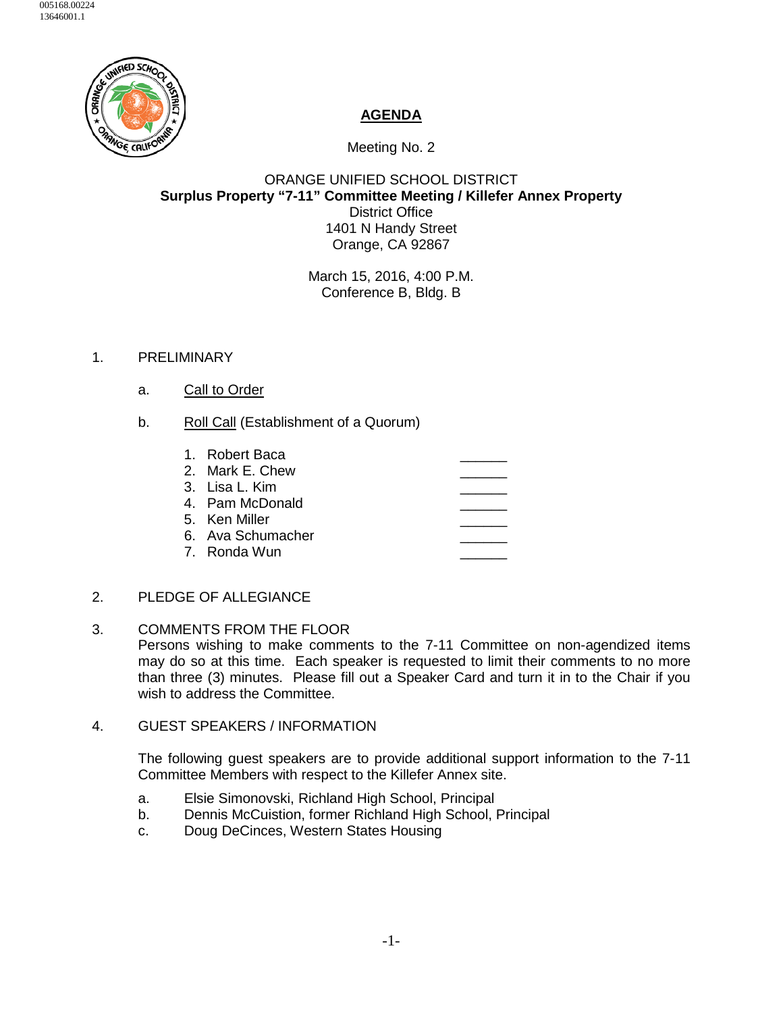

## **AGENDA**

Meeting No. 2

## ORANGE UNIFIED SCHOOL DISTRICT **Surplus Property "7-11" Committee Meeting / Killefer Annex Property** District Office 1401 N Handy Street Orange, CA 92867

March 15, 2016, 4:00 P.M. Conference B, Bldg. B

## 1. PRELIMINARY

- a. Call to Order
- b. Roll Call (Establishment of a Quorum)

| 1. Robert Baca    |  |
|-------------------|--|
| 2. Mark E. Chew   |  |
| 3. Lisa L. Kim    |  |
| 4. Pam McDonald   |  |
| 5. Ken Miller     |  |
| 6. Ava Schumacher |  |
| .7. Ronda Wun     |  |

- 2. PLEDGE OF ALLEGIANCE
- 3. COMMENTS FROM THE FLOOR Persons wishing to make comments to the 7-11 Committee on non-agendized items may do so at this time. Each speaker is requested to limit their comments to no more than three (3) minutes. Please fill out a Speaker Card and turn it in to the Chair if you wish to address the Committee.
- 4. GUEST SPEAKERS / INFORMATION

The following guest speakers are to provide additional support information to the 7-11 Committee Members with respect to the Killefer Annex site.

- a. Elsie Simonovski, Richland High School, Principal
- b. Dennis McCuistion, former Richland High School, Principal
- c. Doug DeCinces, Western States Housing